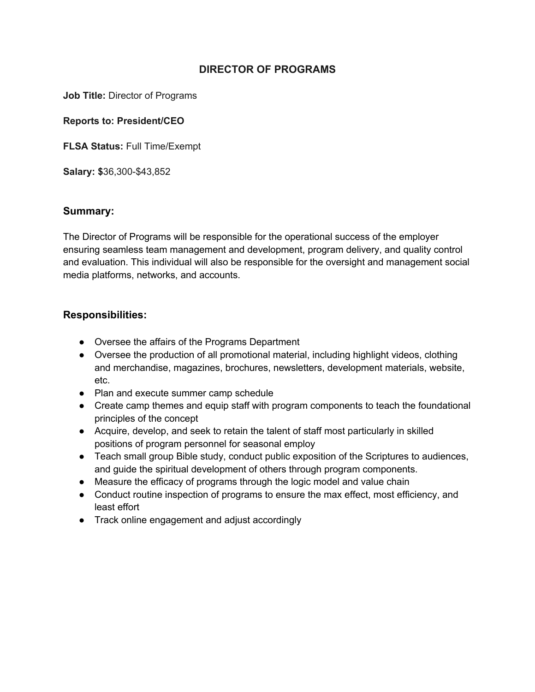## **DIRECTOR OF PROGRAMS**

**Job Title:** Director of Programs

**Reports to: President/CEO**

**FLSA Status:** Full Time/Exempt

**Salary: \$**36,300-\$43,852

### **Summary:**

The Director of Programs will be responsible for the operational success of the employer ensuring seamless team management and development, program delivery, and quality control and evaluation. This individual will also be responsible for the oversight and management social media platforms, networks, and accounts.

# **Responsibilities:**

- Oversee the affairs of the Programs Department
- Oversee the production of all promotional material, including highlight videos, clothing and merchandise, magazines, brochures, newsletters, development materials, website, etc.
- Plan and execute summer camp schedule
- Create camp themes and equip staff with program components to teach the foundational principles of the concept
- Acquire, develop, and seek to retain the talent of staff most particularly in skilled positions of program personnel for seasonal employ
- Teach small group Bible study, conduct public exposition of the Scriptures to audiences, and guide the spiritual development of others through program components.
- Measure the efficacy of programs through the logic model and value chain
- Conduct routine inspection of programs to ensure the max effect, most efficiency, and least effort
- Track online engagement and adjust accordingly